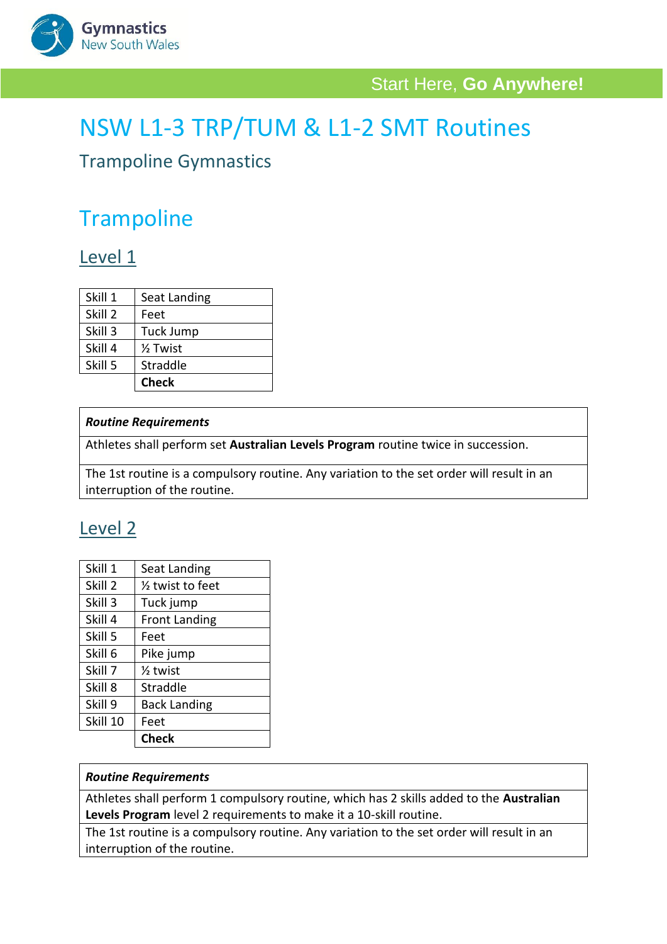

# NSW L1-3 TRP/TUM & L1-2 SMT Routines

#### Trampoline Gymnastics

## **Trampoline**

#### Level 1

|         | <b>Check</b>        |
|---------|---------------------|
| Skill 5 | Straddle            |
| Skill 4 | $\frac{1}{2}$ Twist |
| Skill 3 | <b>Tuck Jump</b>    |
| Skill 2 | Feet                |
| Skill 1 | Seat Landing        |

#### *Routine Requirements*

Athletes shall perform set **Australian Levels Program** routine twice in succession.

The 1st routine is a compulsory routine. Any variation to the set order will result in an interruption of the routine.

### Level 2

| Feet                        |
|-----------------------------|
|                             |
| <b>Back Landing</b>         |
| Straddle                    |
| $\frac{1}{2}$ twist         |
| Pike jump                   |
| Feet                        |
| <b>Front Landing</b>        |
| Tuck jump                   |
| $\frac{1}{2}$ twist to feet |
| Seat Landing                |
|                             |

#### *Routine Requirements*

Athletes shall perform 1 compulsory routine, which has 2 skills added to the **Australian Levels Program** level 2 requirements to make it a 10-skill routine.

The 1st routine is a compulsory routine. Any variation to the set order will result in an interruption of the routine.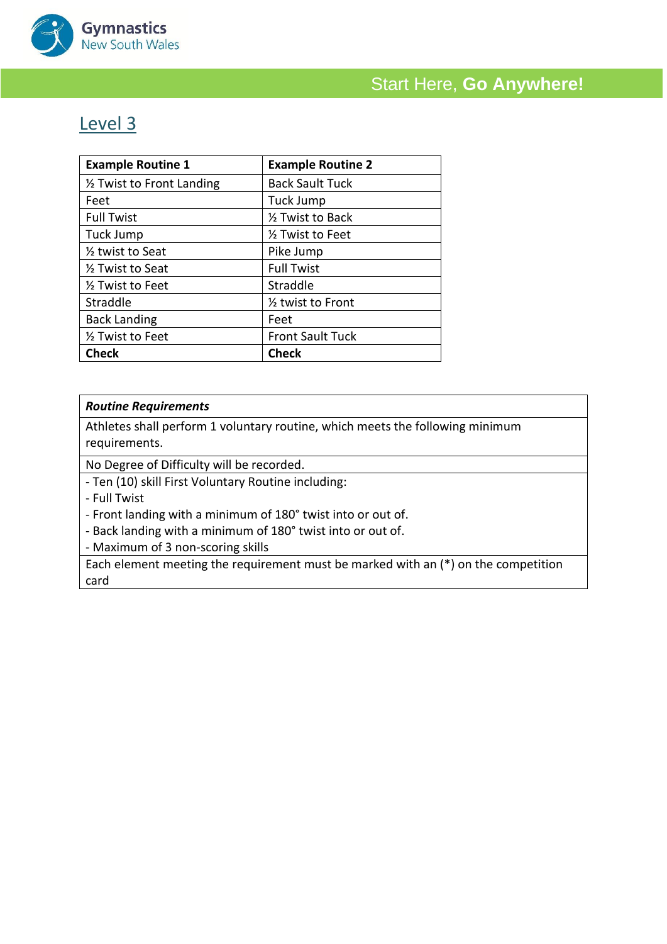

#### Level 3

| <b>Example Routine 1</b>      | <b>Example Routine 2</b>       |
|-------------------------------|--------------------------------|
| 1/2 Twist to Front Landing    | <b>Back Sault Tuck</b>         |
| Feet                          | Tuck Jump                      |
| <b>Full Twist</b>             | 1/ <sub>2</sub> Twist to Back  |
| Tuck Jump                     | 1/2 Twist to Feet              |
| 1/ <sub>2</sub> twist to Seat | Pike Jump                      |
| 1/ <sub>2</sub> Twist to Seat | <b>Full Twist</b>              |
| 1/ <sub>2</sub> Twist to Feet | Straddle                       |
| Straddle                      | 1/ <sub>2</sub> twist to Front |
| <b>Back Landing</b>           | Feet                           |
| 1/ <sub>2</sub> Twist to Feet | <b>Front Sault Tuck</b>        |
| <b>Check</b>                  | <b>Check</b>                   |

#### *Routine Requirements*

Athletes shall perform 1 voluntary routine, which meets the following minimum requirements.

No Degree of Difficulty will be recorded.

- Ten (10) skill First Voluntary Routine including:

- Full Twist

- Front landing with a minimum of 180° twist into or out of.

- Back landing with a minimum of 180° twist into or out of.

- Maximum of 3 non-scoring skills

Each element meeting the requirement must be marked with an (\*) on the competition card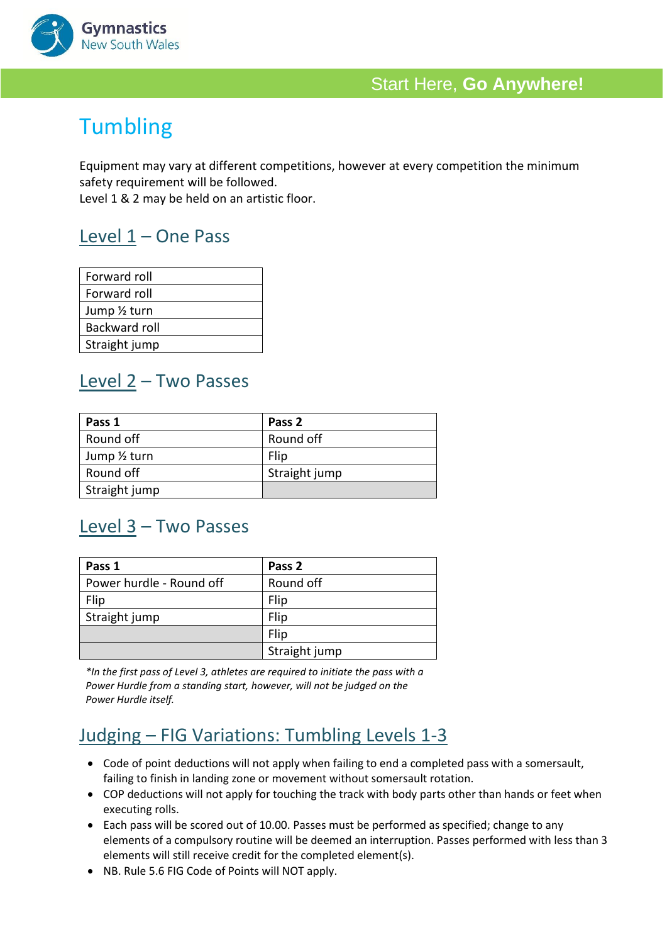

# **Tumbling**

Equipment may vary at different competitions, however at every competition the minimum safety requirement will be followed.

Level 1 & 2 may be held on an artistic floor.

### Level 1 – One Pass

| Forward roll         |
|----------------------|
| Forward roll         |
| Jump 1/2 turn        |
| <b>Backward roll</b> |
| Straight jump        |

#### Level 2 – Two Passes

| Pass 1        | Pass 2        |
|---------------|---------------|
| Round off     | Round off     |
| Jump 1/2 turn | Flip          |
| Round off     | Straight jump |
| Straight jump |               |

### Level 3 – Two Passes

| Pass 1                   | Pass 2        |
|--------------------------|---------------|
| Power hurdle - Round off | Round off     |
| Flip                     | Flip          |
| Straight jump            | Flip          |
|                          | Flip          |
|                          | Straight jump |

*\*In the first pass of Level 3, athletes are required to initiate the pass with a Power Hurdle from a standing start, however, will not be judged on the Power Hurdle itself.* 

## Judging – FIG Variations: Tumbling Levels 1-3

- Code of point deductions will not apply when failing to end a completed pass with a somersault, failing to finish in landing zone or movement without somersault rotation.
- COP deductions will not apply for touching the track with body parts other than hands or feet when executing rolls.
- Each pass will be scored out of 10.00. Passes must be performed as specified; change to any elements of a compulsory routine will be deemed an interruption. Passes performed with less than 3 elements will still receive credit for the completed element(s).
- NB. Rule 5.6 FIG Code of Points will NOT apply.